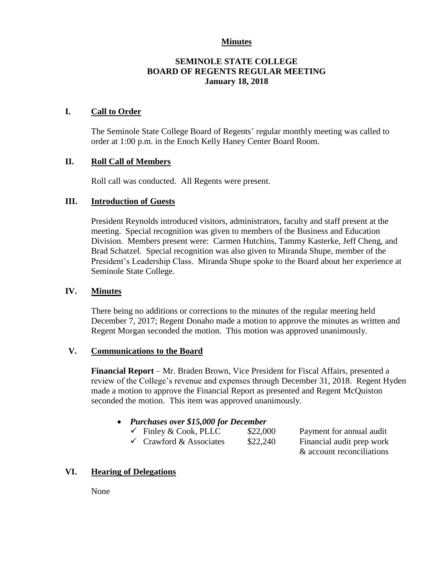## **Minutes**

## **SEMINOLE STATE COLLEGE BOARD OF REGENTS REGULAR MEETING January 18, 2018**

## **I. Call to Order**

The Seminole State College Board of Regents' regular monthly meeting was called to order at 1:00 p.m. in the Enoch Kelly Haney Center Board Room.

## **II. Roll Call of Members**

Roll call was conducted. All Regents were present.

## **III. Introduction of Guests**

President Reynolds introduced visitors, administrators, faculty and staff present at the meeting. Special recognition was given to members of the Business and Education Division. Members present were: Carmen Hutchins, Tammy Kasterke, Jeff Cheng, and Brad Schatzel. Special recognition was also given to Miranda Shupe, member of the President's Leadership Class. Miranda Shupe spoke to the Board about her experience at Seminole State College.

#### **IV. Minutes**

There being no additions or corrections to the minutes of the regular meeting held December 7, 2017; Regent Donaho made a motion to approve the minutes as written and Regent Morgan seconded the motion. This motion was approved unanimously.

#### **V. Communications to the Board**

**Financial Report** – Mr. Braden Brown, Vice President for Fiscal Affairs, presented a review of the College's revenue and expenses through December 31, 2018. Regent Hyden made a motion to approve the Financial Report as presented and Regent McQuiston seconded the motion. This item was approved unanimously.

- *Purchases over \$15,000 for December* 
	- $\checkmark$  Finley & Cook, PLLC \$22,000 Payment for annual audit
		-

& account reconciliations

 $\checkmark$  Crawford & Associates  $$22,240$  Financial audit prep work

**VI. Hearing of Delegations**

None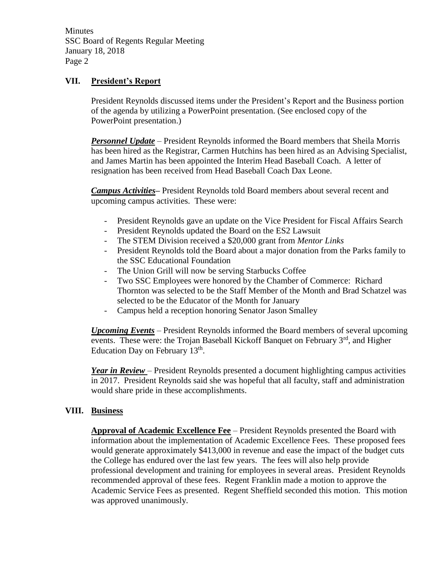**Minutes** SSC Board of Regents Regular Meeting January 18, 2018 Page 2

## **VII. President's Report**

President Reynolds discussed items under the President's Report and the Business portion of the agenda by utilizing a PowerPoint presentation. (See enclosed copy of the PowerPoint presentation.)

*Personnel Update* – President Reynolds informed the Board members that Sheila Morris has been hired as the Registrar, Carmen Hutchins has been hired as an Advising Specialist, and James Martin has been appointed the Interim Head Baseball Coach. A letter of resignation has been received from Head Baseball Coach Dax Leone.

*Campus Activities***–** President Reynolds told Board members about several recent and upcoming campus activities. These were:

- President Reynolds gave an update on the Vice President for Fiscal Affairs Search
- President Reynolds updated the Board on the ES2 Lawsuit
- The STEM Division received a \$20,000 grant from *Mentor Links*
- President Reynolds told the Board about a major donation from the Parks family to the SSC Educational Foundation
- The Union Grill will now be serving Starbucks Coffee
- Two SSC Employees were honored by the Chamber of Commerce: Richard Thornton was selected to be the Staff Member of the Month and Brad Schatzel was selected to be the Educator of the Month for January
- Campus held a reception honoring Senator Jason Smalley

*Upcoming Events* – President Reynolds informed the Board members of several upcoming events. These were: the Trojan Baseball Kickoff Banquet on February 3<sup>rd</sup>, and Higher Education Day on February  $13<sup>th</sup>$ .

*Year in Review* – President Reynolds presented a document highlighting campus activities in 2017. President Reynolds said she was hopeful that all faculty, staff and administration would share pride in these accomplishments.

#### **VIII. Business**

**Approval of Academic Excellence Fee** – President Reynolds presented the Board with information about the implementation of Academic Excellence Fees. These proposed fees would generate approximately \$413,000 in revenue and ease the impact of the budget cuts the College has endured over the last few years. The fees will also help provide professional development and training for employees in several areas. President Reynolds recommended approval of these fees. Regent Franklin made a motion to approve the Academic Service Fees as presented. Regent Sheffield seconded this motion. This motion was approved unanimously.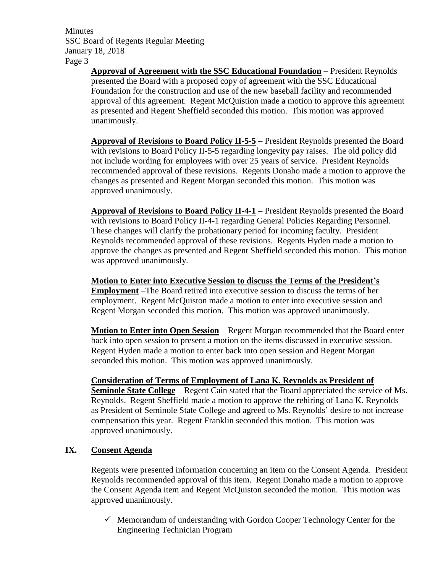**Minutes** SSC Board of Regents Regular Meeting January 18, 2018 Page 3

> **Approval of Agreement with the SSC Educational Foundation** – President Reynolds presented the Board with a proposed copy of agreement with the SSC Educational Foundation for the construction and use of the new baseball facility and recommended approval of this agreement. Regent McQuistion made a motion to approve this agreement as presented and Regent Sheffield seconded this motion. This motion was approved unanimously.

> **Approval of Revisions to Board Policy II-5-5** – President Reynolds presented the Board with revisions to Board Policy II-5-5 regarding longevity pay raises. The old policy did not include wording for employees with over 25 years of service. President Reynolds recommended approval of these revisions. Regents Donaho made a motion to approve the changes as presented and Regent Morgan seconded this motion. This motion was approved unanimously.

> **Approval of Revisions to Board Policy II-4-1** – President Reynolds presented the Board with revisions to Board Policy II-4-1 regarding General Policies Regarding Personnel. These changes will clarify the probationary period for incoming faculty. President Reynolds recommended approval of these revisions. Regents Hyden made a motion to approve the changes as presented and Regent Sheffield seconded this motion. This motion was approved unanimously.

**Motion to Enter into Executive Session to discuss the Terms of the President's Employment** –The Board retired into executive session to discuss the terms of her employment. Regent McQuiston made a motion to enter into executive session and Regent Morgan seconded this motion. This motion was approved unanimously.

**Motion to Enter into Open Session** – Regent Morgan recommended that the Board enter back into open session to present a motion on the items discussed in executive session. Regent Hyden made a motion to enter back into open session and Regent Morgan seconded this motion. This motion was approved unanimously.

**Consideration of Terms of Employment of Lana K. Reynolds as President of Seminole State College** – Regent Cain stated that the Board appreciated the service of Ms. Reynolds. Regent Sheffield made a motion to approve the rehiring of Lana K. Reynolds as President of Seminole State College and agreed to Ms. Reynolds' desire to not increase compensation this year. Regent Franklin seconded this motion. This motion was approved unanimously.

## **IX. Consent Agenda**

Regents were presented information concerning an item on the Consent Agenda. President Reynolds recommended approval of this item. Regent Donaho made a motion to approve the Consent Agenda item and Regent McQuiston seconded the motion. This motion was approved unanimously.

 $\checkmark$  Memorandum of understanding with Gordon Cooper Technology Center for the Engineering Technician Program